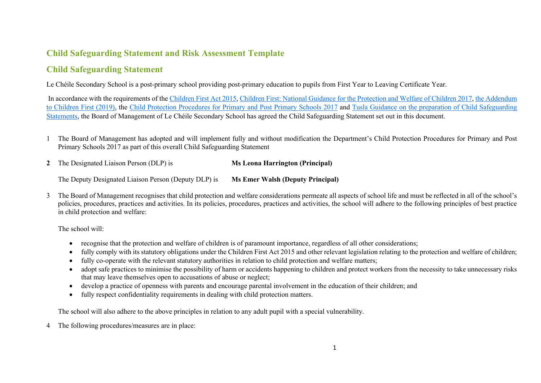## **Child Safeguarding Statement and Risk Assessment Template**

## **Child Safeguarding Statement**

Le Chéile Secondary School is a post-primary school providing post-primary education to pupils from First Year to Leaving Certificate Year.

In accordance with the requirements of the Children First Act 2015, Children First: National Guidance for the Protection and Welfare of Children 2017, the Addendum to Children First (2019), the Child Protection Procedures for Primary and Post Primary Schools 2017 and Tusla Guidance on the preparation of Child Safeguarding Statements, the Board of Management of Le Chéile Secondary School has agreed the Child Safeguarding Statement set out in this document.

- 1 The Board of Management has adopted and will implement fully and without modification the Department's Child Protection Procedures for Primary and Post Primary Schools 2017 as part of this overall Child Safeguarding Statement
- **2** The Designated Liaison Person (DLP) is **Ms Leona Harrington (Principal)**

The Deputy Designated Liaison Person (Deputy DLP) is **Ms Emer Walsh (Deputy Principal)**

3 The Board of Management recognises that child protection and welfare considerations permeate all aspects of school life and must be reflected in all of the school's policies, procedures, practices and activities. In its policies, procedures, practices and activities, the school will adhere to the following principles of best practice in child protection and welfare:

The school will:

- recognise that the protection and welfare of children is of paramount importance, regardless of all other considerations;
- fully comply with its statutory obligations under the Children First Act 2015 and other relevant legislation relating to the protection and welfare of children;
- fully co-operate with the relevant statutory authorities in relation to child protection and welfare matters;
- adopt safe practices to minimise the possibility of harm or accidents happening to children and protect workers from the necessity to take unnecessary risks that may leave themselves open to accusations of abuse or neglect;
- develop a practice of openness with parents and encourage parental involvement in the education of their children; and
- fully respect confidentiality requirements in dealing with child protection matters.

The school will also adhere to the above principles in relation to any adult pupil with a special vulnerability.

4 The following procedures/measures are in place: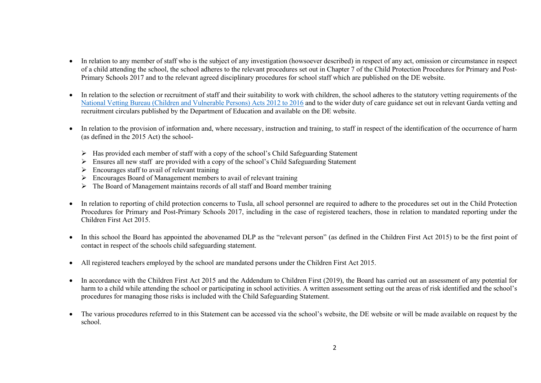- In relation to any member of staff who is the subject of any investigation (howsoever described) in respect of any act, omission or circumstance in respect of a child attending the school, the school adheres to the relevant procedures set out in Chapter 7 of the Child Protection Procedures for Primary and Post-Primary Schools 2017 and to the relevant agreed disciplinary procedures for school staff which are published on the DE website.
- In relation to the selection or recruitment of staff and their suitability to work with children, the school adheres to the statutory vetting requirements of the National Vetting Bureau (Children and Vulnerable Persons) Acts 2012 to 2016 and to the wider duty of care guidance set out in relevant Garda vetting and recruitment circulars published by the Department of Education and available on the DE website.
- In relation to the provision of information and, where necessary, instruction and training, to staff in respect of the identification of the occurrence of harm (as defined in the 2015 Act) the school-
	- $\triangleright$  Has provided each member of staff with a copy of the school's Child Safeguarding Statement
	- $\triangleright$  Ensures all new staff are provided with a copy of the school's Child Safeguarding Statement
	- $\triangleright$  Encourages staff to avail of relevant training
	- $\triangleright$  Encourages Board of Management members to avail of relevant training
	- $\triangleright$  The Board of Management maintains records of all staff and Board member training
- In relation to reporting of child protection concerns to Tusla, all school personnel are required to adhere to the procedures set out in the Child Protection Procedures for Primary and Post-Primary Schools 2017, including in the case of registered teachers, those in relation to mandated reporting under the Children First Act 2015.
- In this school the Board has appointed the abovenamed DLP as the "relevant person" (as defined in the Children First Act 2015) to be the first point of contact in respect of the schools child safeguarding statement.
- All registered teachers employed by the school are mandated persons under the Children First Act 2015.
- In accordance with the Children First Act 2015 and the Addendum to Children First (2019), the Board has carried out an assessment of any potential for harm to a child while attending the school or participating in school activities. A written assessment setting out the areas of risk identified and the school's procedures for managing those risks is included with the Child Safeguarding Statement.
- The various procedures referred to in this Statement can be accessed via the school's website, the DE website or will be made available on request by the school.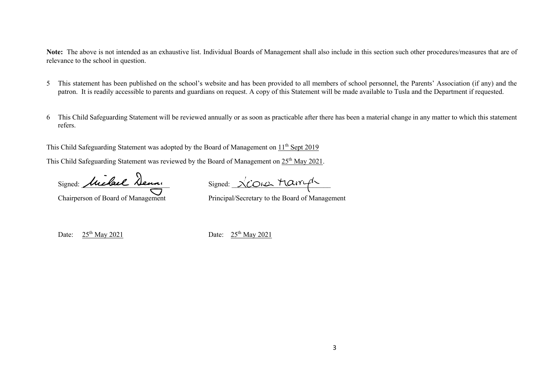**Note:** The above is not intended as an exhaustive list. Individual Boards of Management shall also include in this section such other procedures/measures that are of relevance to the school in question.

- 5 This statement has been published on the school's website and has been provided to all members of school personnel, the Parents' Association (if any) and the patron. It is readily accessible to parents and guardians on request. A copy of this Statement will be made available to Tusla and the Department if requested.
- 6 This Child Safeguarding Statement will be reviewed annually or as soon as practicable after there has been a material change in any matter to which this statement refers.

This Child Safeguarding Statement was adopted by the Board of Management on  $11<sup>th</sup>$  Sept 2019

This Child Safeguarding Statement was reviewed by the Board of Management on 25<sup>th</sup> May 2021.

Signed: Michael Deman Signed: XCOIC Marryh

Chairperson of Board of Management Principal/Secretary to the Board of Management

Date:  $25<sup>th</sup>$  May 2021 Date:  $25<sup>th</sup>$  May 2021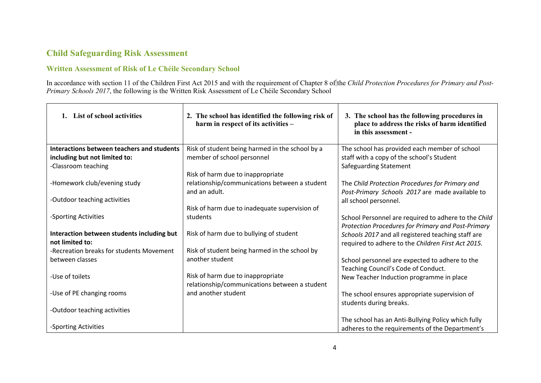## **Child Safeguarding Risk Assessment**

## **Written Assessment of Risk of Le Chéile Secondary School**

In accordance with section 11 of the Children First Act 2015 and with the requirement of Chapter 8 of the *Child Protection Procedures for Primary and Post-Primary Schools 2017*, the following is the Written Risk Assessment of Le Chéile Secondary School

| 1. List of school activities                      | 2. The school has identified the following risk of<br>harm in respect of its activities - | 3. The school has the following procedures in<br>place to address the risks of harm identified<br>in this assessment - |
|---------------------------------------------------|-------------------------------------------------------------------------------------------|------------------------------------------------------------------------------------------------------------------------|
| <b>Interactions between teachers and students</b> | Risk of student being harmed in the school by a                                           | The school has provided each member of school                                                                          |
| including but not limited to:                     | member of school personnel                                                                | staff with a copy of the school's Student                                                                              |
| -Classroom teaching                               |                                                                                           | Safeguarding Statement                                                                                                 |
|                                                   | Risk of harm due to inappropriate                                                         |                                                                                                                        |
| -Homework club/evening study                      | relationship/communications between a student                                             | The Child Protection Procedures for Primary and                                                                        |
|                                                   | and an adult.                                                                             | Post-Primary Schools 2017 are made available to                                                                        |
| -Outdoor teaching activities                      |                                                                                           | all school personnel.                                                                                                  |
|                                                   | Risk of harm due to inadequate supervision of                                             |                                                                                                                        |
| -Sporting Activities                              | students                                                                                  | School Personnel are required to adhere to the Child                                                                   |
|                                                   |                                                                                           | Protection Procedures for Primary and Post-Primary                                                                     |
| Interaction between students including but        | Risk of harm due to bullying of student                                                   | Schools 2017 and all registered teaching staff are                                                                     |
| not limited to:                                   |                                                                                           | required to adhere to the Children First Act 2015.                                                                     |
| -Recreation breaks for students Movement          | Risk of student being harmed in the school by                                             |                                                                                                                        |
| between classes                                   | another student                                                                           | School personnel are expected to adhere to the                                                                         |
|                                                   |                                                                                           | Teaching Council's Code of Conduct.                                                                                    |
| -Use of toilets                                   | Risk of harm due to inappropriate                                                         | New Teacher Induction programme in place                                                                               |
|                                                   | relationship/communications between a student                                             |                                                                                                                        |
| -Use of PE changing rooms                         | and another student                                                                       | The school ensures appropriate supervision of                                                                          |
|                                                   |                                                                                           | students during breaks.                                                                                                |
| -Outdoor teaching activities                      |                                                                                           |                                                                                                                        |
|                                                   |                                                                                           | The school has an Anti-Bullying Policy which fully                                                                     |
| -Sporting Activities                              |                                                                                           | adheres to the requirements of the Department's                                                                        |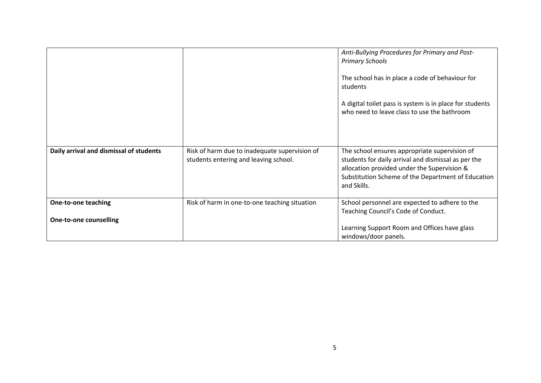|                                                             |                                                                                        | Anti-Bullying Procedures for Primary and Post-<br><b>Primary Schools</b><br>The school has in place a code of behaviour for<br>students<br>A digital toilet pass is system is in place for students<br>who need to leave class to use the bathroom |
|-------------------------------------------------------------|----------------------------------------------------------------------------------------|----------------------------------------------------------------------------------------------------------------------------------------------------------------------------------------------------------------------------------------------------|
| Daily arrival and dismissal of students                     | Risk of harm due to inadequate supervision of<br>students entering and leaving school. | The school ensures appropriate supervision of<br>students for daily arrival and dismissal as per the<br>allocation provided under the Supervision &<br>Substitution Scheme of the Department of Education<br>and Skills.                           |
| <b>One-to-one teaching</b><br><b>One-to-one counselling</b> | Risk of harm in one-to-one teaching situation                                          | School personnel are expected to adhere to the<br>Teaching Council's Code of Conduct.                                                                                                                                                              |
|                                                             |                                                                                        | Learning Support Room and Offices have glass<br>windows/door panels.                                                                                                                                                                               |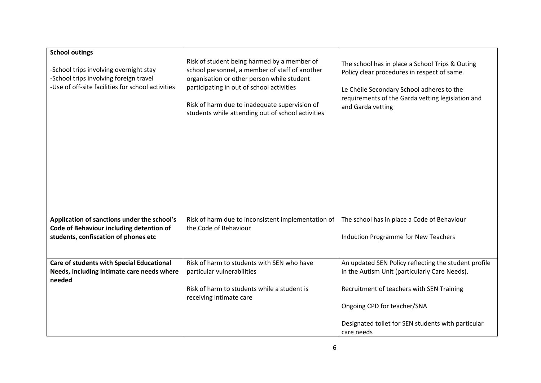| <b>School outings</b><br>-School trips involving overnight stay<br>-School trips involving foreign travel<br>-Use of off-site facilities for school activities | Risk of student being harmed by a member of<br>school personnel, a member of staff of another<br>organisation or other person while student<br>participating in out of school activities<br>Risk of harm due to inadequate supervision of<br>students while attending out of school activities | The school has in place a School Trips & Outing<br>Policy clear procedures in respect of same.<br>Le Chéile Secondary School adheres to the<br>requirements of the Garda vetting legislation and<br>and Garda vetting |
|----------------------------------------------------------------------------------------------------------------------------------------------------------------|------------------------------------------------------------------------------------------------------------------------------------------------------------------------------------------------------------------------------------------------------------------------------------------------|-----------------------------------------------------------------------------------------------------------------------------------------------------------------------------------------------------------------------|
| Application of sanctions under the school's<br>Code of Behaviour including detention of<br>students, confiscation of phones etc                                | Risk of harm due to inconsistent implementation of<br>the Code of Behaviour                                                                                                                                                                                                                    | The school has in place a Code of Behaviour<br><b>Induction Programme for New Teachers</b>                                                                                                                            |
| Care of students with Special Educational<br>Needs, including intimate care needs where<br>needed                                                              | Risk of harm to students with SEN who have<br>particular vulnerabilities                                                                                                                                                                                                                       | An updated SEN Policy reflecting the student profile<br>in the Autism Unit (particularly Care Needs).                                                                                                                 |
|                                                                                                                                                                | Risk of harm to students while a student is<br>receiving intimate care                                                                                                                                                                                                                         | Recruitment of teachers with SEN Training                                                                                                                                                                             |
|                                                                                                                                                                |                                                                                                                                                                                                                                                                                                | Ongoing CPD for teacher/SNA                                                                                                                                                                                           |
|                                                                                                                                                                |                                                                                                                                                                                                                                                                                                | Designated toilet for SEN students with particular<br>care needs                                                                                                                                                      |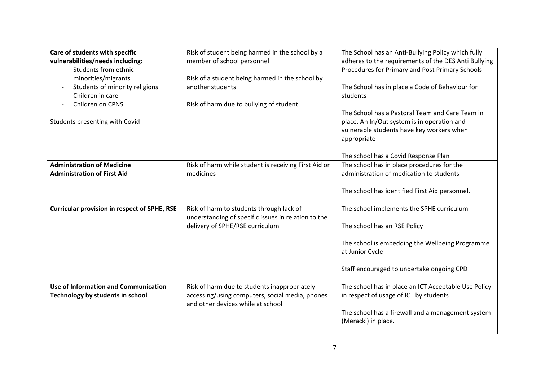| Care of students with specific<br>vulnerabilities/needs including:<br>Students from ethnic<br>minorities/migrants<br>Students of minority religions<br>$\overline{\phantom{a}}$<br>Children in care<br>Children on CPNS<br>Students presenting with Covid | Risk of student being harmed in the school by a<br>member of school personnel<br>Risk of a student being harmed in the school by<br>another students<br>Risk of harm due to bullying of student | The School has an Anti-Bullying Policy which fully<br>adheres to the requirements of the DES Anti Bullying<br>Procedures for Primary and Post Primary Schools<br>The School has in place a Code of Behaviour for<br>students<br>The School has a Pastoral Team and Care Team in<br>place. An In/Out system is in operation and<br>vulnerable students have key workers when<br>appropriate |
|-----------------------------------------------------------------------------------------------------------------------------------------------------------------------------------------------------------------------------------------------------------|-------------------------------------------------------------------------------------------------------------------------------------------------------------------------------------------------|--------------------------------------------------------------------------------------------------------------------------------------------------------------------------------------------------------------------------------------------------------------------------------------------------------------------------------------------------------------------------------------------|
|                                                                                                                                                                                                                                                           |                                                                                                                                                                                                 | The school has a Covid Response Plan                                                                                                                                                                                                                                                                                                                                                       |
| <b>Administration of Medicine</b>                                                                                                                                                                                                                         | Risk of harm while student is receiving First Aid or                                                                                                                                            | The school has in place procedures for the                                                                                                                                                                                                                                                                                                                                                 |
| <b>Administration of First Aid</b>                                                                                                                                                                                                                        | medicines                                                                                                                                                                                       | administration of medication to students                                                                                                                                                                                                                                                                                                                                                   |
|                                                                                                                                                                                                                                                           |                                                                                                                                                                                                 | The school has identified First Aid personnel.                                                                                                                                                                                                                                                                                                                                             |
| <b>Curricular provision in respect of SPHE, RSE</b>                                                                                                                                                                                                       | Risk of harm to students through lack of                                                                                                                                                        | The school implements the SPHE curriculum                                                                                                                                                                                                                                                                                                                                                  |
|                                                                                                                                                                                                                                                           | understanding of specific issues in relation to the<br>delivery of SPHE/RSE curriculum                                                                                                          | The school has an RSE Policy                                                                                                                                                                                                                                                                                                                                                               |
|                                                                                                                                                                                                                                                           |                                                                                                                                                                                                 | The school is embedding the Wellbeing Programme<br>at Junior Cycle                                                                                                                                                                                                                                                                                                                         |
|                                                                                                                                                                                                                                                           |                                                                                                                                                                                                 | Staff encouraged to undertake ongoing CPD                                                                                                                                                                                                                                                                                                                                                  |
| Use of Information and Communication                                                                                                                                                                                                                      | Risk of harm due to students inappropriately                                                                                                                                                    | The school has in place an ICT Acceptable Use Policy                                                                                                                                                                                                                                                                                                                                       |
| Technology by students in school                                                                                                                                                                                                                          | accessing/using computers, social media, phones                                                                                                                                                 | in respect of usage of ICT by students                                                                                                                                                                                                                                                                                                                                                     |
|                                                                                                                                                                                                                                                           | and other devices while at school                                                                                                                                                               |                                                                                                                                                                                                                                                                                                                                                                                            |
|                                                                                                                                                                                                                                                           |                                                                                                                                                                                                 | The school has a firewall and a management system<br>(Meracki) in place.                                                                                                                                                                                                                                                                                                                   |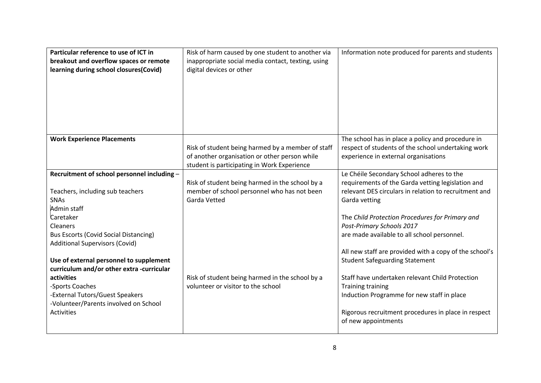| Particular reference to use of ICT in<br>breakout and overflow spaces or remote<br>learning during school closures(Covid) | Risk of harm caused by one student to another via<br>inappropriate social media contact, texting, using<br>digital devices or other               | Information note produced for parents and students                                                                                              |
|---------------------------------------------------------------------------------------------------------------------------|---------------------------------------------------------------------------------------------------------------------------------------------------|-------------------------------------------------------------------------------------------------------------------------------------------------|
| <b>Work Experience Placements</b>                                                                                         | Risk of student being harmed by a member of staff<br>of another organisation or other person while<br>student is participating in Work Experience | The school has in place a policy and procedure in<br>respect of students of the school undertaking work<br>experience in external organisations |
| Recruitment of school personnel including -                                                                               |                                                                                                                                                   | Le Chéile Secondary School adheres to the                                                                                                       |
| Teachers, including sub teachers<br><b>SNAs</b><br>Admin staff                                                            | Risk of student being harmed in the school by a<br>member of school personnel who has not been<br><b>Garda Vetted</b>                             | requirements of the Garda vetting legislation and<br>relevant DES circulars in relation to recruitment and<br>Garda vetting                     |
| Caretaker<br><b>Cleaners</b>                                                                                              |                                                                                                                                                   | The Child Protection Procedures for Primary and<br>Post-Primary Schools 2017                                                                    |
| <b>Bus Escorts (Covid Social Distancing)</b><br><b>Additional Supervisors (Covid)</b>                                     |                                                                                                                                                   | are made available to all school personnel.                                                                                                     |
| Use of external personnel to supplement<br>curriculum and/or other extra -curricular                                      |                                                                                                                                                   | All new staff are provided with a copy of the school's<br><b>Student Safeguarding Statement</b>                                                 |
| activities                                                                                                                | Risk of student being harmed in the school by a<br>volunteer or visitor to the school                                                             | Staff have undertaken relevant Child Protection                                                                                                 |
| -Sports Coaches<br>-External Tutors/Guest Speakers<br>-Volunteer/Parents involved on School                               |                                                                                                                                                   | <b>Training training</b><br>Induction Programme for new staff in place                                                                          |
| Activities                                                                                                                |                                                                                                                                                   | Rigorous recruitment procedures in place in respect<br>of new appointments                                                                      |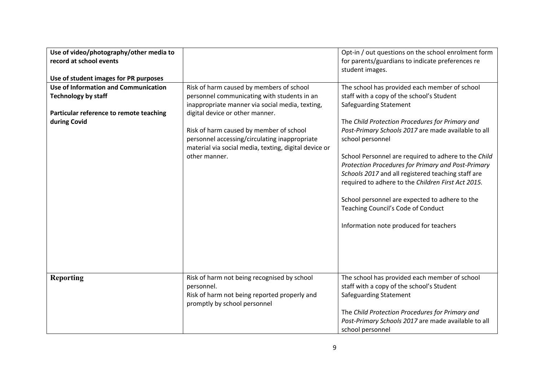| Use of video/photography/other media to |                                                       | Opt-in / out questions on the school enrolment form  |
|-----------------------------------------|-------------------------------------------------------|------------------------------------------------------|
| record at school events                 |                                                       | for parents/guardians to indicate preferences re     |
|                                         |                                                       | student images.                                      |
| Use of student images for PR purposes   |                                                       |                                                      |
| Use of Information and Communication    | Risk of harm caused by members of school              | The school has provided each member of school        |
| <b>Technology by staff</b>              | personnel communicating with students in an           | staff with a copy of the school's Student            |
|                                         | inappropriate manner via social media, texting,       | <b>Safeguarding Statement</b>                        |
|                                         | digital device or other manner.                       |                                                      |
| Particular reference to remote teaching |                                                       |                                                      |
| during Covid                            |                                                       | The Child Protection Procedures for Primary and      |
|                                         | Risk of harm caused by member of school               | Post-Primary Schools 2017 are made available to all  |
|                                         | personnel accessing/circulating inappropriate         | school personnel                                     |
|                                         | material via social media, texting, digital device or |                                                      |
|                                         | other manner.                                         | School Personnel are required to adhere to the Child |
|                                         |                                                       | Protection Procedures for Primary and Post-Primary   |
|                                         |                                                       | Schools 2017 and all registered teaching staff are   |
|                                         |                                                       | required to adhere to the Children First Act 2015.   |
|                                         |                                                       |                                                      |
|                                         |                                                       | School personnel are expected to adhere to the       |
|                                         |                                                       | Teaching Council's Code of Conduct                   |
|                                         |                                                       |                                                      |
|                                         |                                                       | Information note produced for teachers               |
|                                         |                                                       |                                                      |
|                                         |                                                       |                                                      |
|                                         |                                                       |                                                      |
|                                         |                                                       |                                                      |
|                                         |                                                       |                                                      |
| <b>Reporting</b>                        | Risk of harm not being recognised by school           | The school has provided each member of school        |
|                                         | personnel.                                            | staff with a copy of the school's Student            |
|                                         |                                                       |                                                      |
|                                         | Risk of harm not being reported properly and          | <b>Safeguarding Statement</b>                        |
|                                         | promptly by school personnel                          |                                                      |
|                                         |                                                       | The Child Protection Procedures for Primary and      |
|                                         |                                                       | Post-Primary Schools 2017 are made available to all  |
|                                         |                                                       | school personnel                                     |